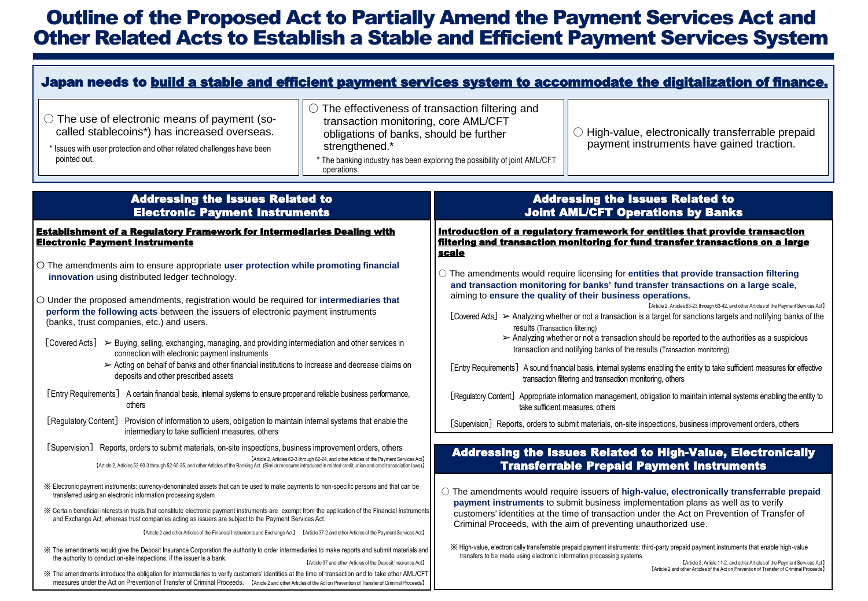## Outline of the Proposed Act to Partially Amend the Payment Services Act and Other Related Acts to Establish a Stable and Efficient Payment Services System

| Japan needs to build a stable and efficient payment services system to accommodate the digitalization of finance.                                                                                                                                                                                                                                                                                                                                                                                                                                                                                                                                                                                                                                                                                                                                                                                                                                                                                                                                                                                                                                                                                                                                                                                                                                                                                                   |                                                                                                                                                                                                                                                                                                                                                                                                                                                                                                                                                                                                                                                                                                                                                                                                                                                                                                                                                                                                                                                                                                                                                                                     |  |  |  |
|---------------------------------------------------------------------------------------------------------------------------------------------------------------------------------------------------------------------------------------------------------------------------------------------------------------------------------------------------------------------------------------------------------------------------------------------------------------------------------------------------------------------------------------------------------------------------------------------------------------------------------------------------------------------------------------------------------------------------------------------------------------------------------------------------------------------------------------------------------------------------------------------------------------------------------------------------------------------------------------------------------------------------------------------------------------------------------------------------------------------------------------------------------------------------------------------------------------------------------------------------------------------------------------------------------------------------------------------------------------------------------------------------------------------|-------------------------------------------------------------------------------------------------------------------------------------------------------------------------------------------------------------------------------------------------------------------------------------------------------------------------------------------------------------------------------------------------------------------------------------------------------------------------------------------------------------------------------------------------------------------------------------------------------------------------------------------------------------------------------------------------------------------------------------------------------------------------------------------------------------------------------------------------------------------------------------------------------------------------------------------------------------------------------------------------------------------------------------------------------------------------------------------------------------------------------------------------------------------------------------|--|--|--|
| $\circlearrowright$ The effectiveness of transaction filtering and<br>$\bigcirc$ The use of electronic means of payment (so-<br>transaction monitoring, core AML/CFT<br>called stablecoins*) has increased overseas.<br>obligations of banks, should be further<br>strengthened.*<br>* Issues with user protection and other related challenges have been<br>pointed out.<br>operations.                                                                                                                                                                                                                                                                                                                                                                                                                                                                                                                                                                                                                                                                                                                                                                                                                                                                                                                                                                                                                            | $\bigcirc$ High-value, electronically transferrable prepaid<br>payment instruments have gained traction.<br>* The banking industry has been exploring the possibility of joint AML/CFT                                                                                                                                                                                                                                                                                                                                                                                                                                                                                                                                                                                                                                                                                                                                                                                                                                                                                                                                                                                              |  |  |  |
| <b>Addressing the Issues Related to</b><br><b>Electronic Payment Instruments</b>                                                                                                                                                                                                                                                                                                                                                                                                                                                                                                                                                                                                                                                                                                                                                                                                                                                                                                                                                                                                                                                                                                                                                                                                                                                                                                                                    | <b>Addressing the Issues Related to</b><br><b>Joint AML/CFT Operations by Banks</b>                                                                                                                                                                                                                                                                                                                                                                                                                                                                                                                                                                                                                                                                                                                                                                                                                                                                                                                                                                                                                                                                                                 |  |  |  |
| <b>Establishment of a Regulatory Framework for Intermediaries Dealing with</b><br><b>Electronic Payment Instruments</b>                                                                                                                                                                                                                                                                                                                                                                                                                                                                                                                                                                                                                                                                                                                                                                                                                                                                                                                                                                                                                                                                                                                                                                                                                                                                                             | Introduction of a regulatory framework for entities that provide transaction<br><u>filtering and transaction monitoring for fund transfer transactions on a large </u><br><u>scale</u>                                                                                                                                                                                                                                                                                                                                                                                                                                                                                                                                                                                                                                                                                                                                                                                                                                                                                                                                                                                              |  |  |  |
| $\circ$ The amendments aim to ensure appropriate user protection while promoting financial<br>innovation using distributed ledger technology.<br>O Under the proposed amendments, registration would be required for intermediaries that<br>perform the following acts between the issuers of electronic payment instruments<br>(banks, trust companies, etc.) and users.<br>$[Covered \, \text{Acts}] \geq \text{Buying, selling, exchanging, managing, and providing international and other services in}$<br>connection with electronic payment instruments<br>> Acting on behalf of banks and other financial institutions to increase and decrease claims on<br>deposits and other prescribed assets<br>[Entry Requirements] A certain financial basis, internal systems to ensure proper and reliable business performance,<br>others<br>[Regulatory Content]<br>Provision of information to users, obligation to maintain internal systems that enable the<br>intermediary to take sufficient measures, others                                                                                                                                                                                                                                                                                                                                                                                               | $\bigcirc$ The amendments would require licensing for entities that provide transaction filtering<br>and transaction monitoring for banks' fund transfer transactions on a large scale,<br>aiming to ensure the quality of their business operations.<br>[Article 2, Articles 63-23 through 63-42, and other Articles of the Payment Services Act]<br>[Covered Acts] > Analyzing whether or not a transaction is a target for sanctions targets and notifying banks of the<br>results (Transaction filtering)<br>$\triangleright$ Analyzing whether or not a transaction should be reported to the authorities as a suspicious<br>transaction and notifying banks of the results (Transaction monitoring)<br>[Entry Requirements] A sound financial basis, internal systems enabling the entity to take sufficient measures for effective<br>transaction filtering and transaction monitoring, others<br>[Regulatory Content] Appropriate information management, obligation to maintain internal systems enabling the entity to<br>take sufficient measures, others<br>[Supervision] Reports, orders to submit materials, on-site inspections, business improvement orders, others |  |  |  |
| [Supervision] Reports, orders to submit materials, on-site inspections, business improvement orders, others<br>[Article 2, Articles 62-3 through 62-24, and other Articles of the Payment Services Act]                                                                                                                                                                                                                                                                                                                                                                                                                                                                                                                                                                                                                                                                                                                                                                                                                                                                                                                                                                                                                                                                                                                                                                                                             | <b>Addressing the Issues Related to High-Value, Electronically</b>                                                                                                                                                                                                                                                                                                                                                                                                                                                                                                                                                                                                                                                                                                                                                                                                                                                                                                                                                                                                                                                                                                                  |  |  |  |
| [Article 2, Articles 52-60-3 through 52-60-35, and other Articles of the Banking Act (Similar measures introduced in related credit union and credit association laws)]<br>X Electronic payment instruments: currency-denominated assets that can be used to make payments to non-specific persons and that can be<br>transferred using an electronic information processing system<br>X Certain beneficial interests in trusts that constitute electronic payment instruments are exempt from the application of the Financial Instruments<br>and Exchange Act, whereas trust companies acting as issuers are subject to the Payment Services Act.<br>[Article 2 and other Articles of the Financial Instruments and Exchange Act] [Article 37-2 and other Articles of the Payment Services Act]<br>X The amendments would give the Deposit Insurance Corporation the authority to order intermediaries to make reports and submit materials and<br>the authority to conduct on-site inspections, if the issuer is a bank.<br>[Article 37 and other Articles of the Deposit Insurance Act]<br>X The amendments introduce the obligation for intermediaries to verify customers' identities at the time of transaction and to take other AML/CFT<br>measures under the Act on Prevention of Transfer of Criminal Proceeds. [Article 2 and other Articles of the Act on Prevention of Transfer of Criminal Proceeds] | <b>Transferrable Prepaid Payment Instruments</b><br>$\circlearrowright$ The amendments would require issuers of high-value, electronically transferrable prepaid<br>payment instruments to submit business implementation plans as well as to verify<br>customers' identities at the time of transaction under the Act on Prevention of Transfer of<br>Criminal Proceeds, with the aim of preventing unauthorized use.<br>※ High-value, electronically transferrable prepaid payment instruments: third-party prepaid payment instruments that enable high-value<br>transfers to be made using electronic information processing systems<br>[Article 3, Article 11-2, and other Articles of the Payment Services Act]<br>[Article 2 and other Articles of the Act on Prevention of Transfer of Criminal Proceeds]                                                                                                                                                                                                                                                                                                                                                                   |  |  |  |